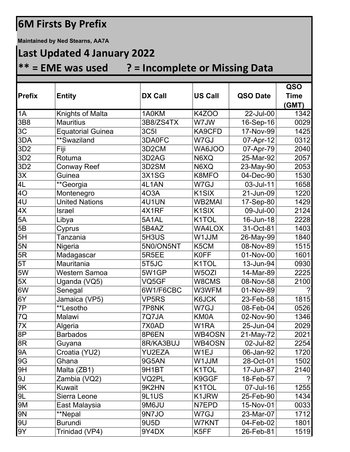## **6M Firsts By Prefix**

**Maintained by Ned Stearns, AA7A**

## **Last Updated 4 January 2022**

## **\*\* = EME was used ? = Incomplete or Missing Data**

|                   |                          |                    |                    |           | QSO         |  |
|-------------------|--------------------------|--------------------|--------------------|-----------|-------------|--|
| <b>Prefix</b>     | <b>Entity</b>            | <b>DX Call</b>     | <b>US Call</b>     | QSO Date  | <b>Time</b> |  |
|                   |                          |                    |                    |           | (GMT)       |  |
| 1A                | Knights of Malta         | 1A0KM              | <b>K4ZOO</b>       | 22-Jul-00 | 1342        |  |
| 3B8               | <b>Mauritius</b>         | 3B8/ZS4TX          | W7JW               | 16-Sep-16 | 0029        |  |
| 3C                | <b>Equatorial Guinea</b> | <b>3C5I</b>        | KA9CFD             | 17-Nov-99 | 1425        |  |
| $\overline{3}$ DA | **Swaziland              | 3DA0FC             | W7GJ               | 07-Apr-12 | 0312        |  |
| 3D <sub>2</sub>   | Fiji                     | 3D <sub>2</sub> CM | WA6JOO             | 07-Apr-79 | 2040        |  |
| 3D <sub>2</sub>   | Rotuma                   | 3D <sub>2</sub> AG | N6XQ               | 25-Mar-92 | 2057        |  |
| 3D <sub>2</sub>   | <b>Conway Reef</b>       | 3D2SM              | N6XQ               | 23-May-90 | 2053        |  |
| 3X                | Guinea                   | 3X1SG              | K8MFO              | 04-Dec-90 | 1530        |  |
| 4L                | **Georgia                | 4L1AN              | W7GJ               | 03-Jul-11 | 1658        |  |
| 40                | Montenegro               | 403A               | K <sub>1</sub> SIX | 21-Jun-09 | 1220        |  |
| 4U                | <b>United Nations</b>    | 4U1UN              | <b>WB2MAI</b>      | 17-Sep-80 | 1429        |  |
| 4X                | Israel                   | 4X1RF              | K <sub>1</sub> SIX | 09-Jul-00 | 2124        |  |
| 5A                | Libya                    | 5A1AL              | K1TOL              | 16-Jun-18 | 2228        |  |
| 5B                | Cyprus                   | 5B4AZ              | WA4LOX             | 31-Oct-81 | 1403        |  |
| 5H                | Tanzania                 | 5H3US              | W1JJM              | 26-May-99 | 1840        |  |
| 5N                | Nigeria                  | 5N0/ON5NT          | K5CM               | 08-Nov-89 | 1515        |  |
| 5R                | Madagascar               | 5R5EE              | <b>K0FF</b>        | 01-Nov-00 | 1601        |  |
| 5T                | Mauritania               | 5T5JC              | K1TOL              | 13-Jun-94 | 0930        |  |
| 5W                | <b>Western Samoa</b>     | 5W1GP              | W5OZI              | 14-Mar-89 | 2225        |  |
| 5X                | Uganda (VQ5)             | VQ5GF              | W8CMS              | 08-Nov-58 | 2100        |  |
| 6W                | Senegal                  | 6W1/F6CBC          | W3WFM              | 01-Nov-89 | ?           |  |
| 6Y                | Jamaica (VP5)            | <b>VP5RS</b>       | K6JCK              | 23-Feb-58 | 1815        |  |
| 7P                | **Lesotho                | 7P8NK              | W7GJ               | 08-Feb-04 | 0526        |  |
| 7Q                | Malawi                   | 7Q7JA              | KM0A               | 02-Nov-90 | 1346        |  |
| $\overline{7X}$   | Algeria                  | 7X0AD              | W <sub>1</sub> RA  | 25-Jun-04 | 2029        |  |
| 8P                | <b>Barbados</b>          | 8P6EN              | WB4OSN             | 21-May-72 | 2021        |  |
| 8R                | Guyana                   | 8R/KA3BUJ          | WB4OSN             | 02-Jul-82 | 2254        |  |
| <b>9A</b>         | Croatia (YU2)            | YU2EZA             | W1EJ               | 06-Jan-92 | 1720        |  |
| 9G                | Ghana                    | 9G5AN              | <b>WLUW</b>        | 28-Oct-01 | 1502        |  |
| 9H                | Malta (ZB1)              | 9H1BT              | K1TOL              | 17-Jun-87 | 2140        |  |
| 9J                | Zambia (VQ2)             | VQ2PL              | K9GGF              | 18-Feb-57 | ?           |  |
| 9K                | Kuwait                   | 9K2HN              | K <sub>1</sub> TOL | 07-Jul-16 | 1255        |  |
| 9L                | Sierra Leone             | 9L1US              | K1JRW              | 25-Feb-90 | 1434        |  |
| 9M                | East Malaysia            | 9M6JU              | N7EPD              | 15-Nov-01 | 0033        |  |
| <b>9N</b>         | **Nepal                  | 9N7JO              | W7GJ               | 23-Mar-07 | 1712        |  |
| 9U                | <b>Burundi</b>           | 9U5D               | W7KNT              | 04-Feb-02 | 1801        |  |
| 9Y                | Trinidad (VP4)           | 9Y4DX              | K5FF               | 26-Feb-81 | 1519        |  |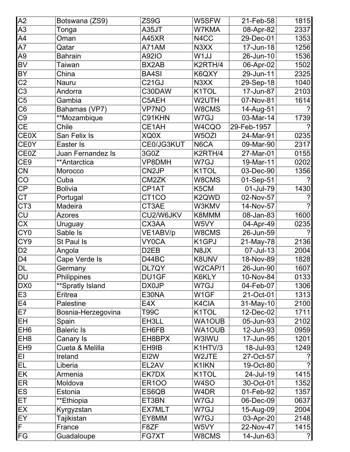| A2                      | Botswana (ZS9)     | ZS9G               | W5SFW              | 21-Feb-58   | 1815           |
|-------------------------|--------------------|--------------------|--------------------|-------------|----------------|
| A3                      | Tonga              | A35JT              | W7KMA              | 08-Apr-82   | 2337           |
| A4                      | Oman               | A45XR              | N <sub>4</sub> CC  | 29-Dec-01   | 1353           |
| A7                      | Qatar              | A71AM              | N3XX               | 17-Jun-18   | 1256           |
| A9                      | <b>Bahrain</b>     | A92IO              | W1JJ               | 26-Jun-10   | 1536           |
| <b>BV</b>               | Taiwan             | BX2AB              | K2RTH/4            | 06-Apr-02   | 1502           |
| <b>BY</b>               | China              | <b>BA4SI</b>       | K6QXY              | 29-Jun-11   | 2325           |
| C <sub>2</sub>          | Nauru              | C <sub>21</sub> GJ | N3XX               | 29-Sep-18   | 1040           |
| $\overline{C3}$         | Andorra            | C30DAW             | K1TOL              | 17-Jun-87   | 2103           |
| C5                      | Gambia             | C5AEH              | W2UTH              | 07-Nov-81   | 1614           |
| C6                      | Bahamas (VP7)      | <b>VP7NO</b>       | W8CMS              | 14-Aug-51   |                |
| C9                      | **Mozambique       | C91KHN             | W7GJ               | 03-Mar-14   | 1739           |
| <b>CE</b>               | Chile              | CE1AH              | W4CQO              | 29-Feb-1957 | $\mathcal{P}$  |
| <b>CE0X</b>             | San Felix Is       | XQ0X               | W5OZI              | 24-Mar-91   | 0235           |
| <b>CE0Y</b>             | Easter Is          | CE0/JG3KUT         | N6CA               | 09-Mar-90   | 2317           |
| CE0Z                    | Juan Fernandez Is  | 3G0Z               | K2RTH/4            | 27-Mar-01   | 0155           |
| CE9                     | **Antarctica       | VP8DMH             | W7GJ               | 19-Mar-11   | 0202           |
| CN                      | Morocco            | CN2JP              | K <sub>1</sub> TOL | 03-Dec-90   | 1356           |
| CO                      | Cuba               | CM2ZK              | W8CMS              | 01-Sep-51   |                |
| $\mathsf{CP}$           | <b>Bolivia</b>     | CP1AT              | K5CM               | 01-Jul-79   | 1430           |
| СT                      | Portugal           | CT <sub>1</sub> CO | K <sub>2</sub> QWD | 02-Nov-57   |                |
| CT <sub>3</sub>         | Madeira            | CT3AE              | W3KMV              | 14-Nov-57   | $\mathcal{P}$  |
| CU                      | <b>Azores</b>      | CU2/W6JKV          | K8MMM              | 08-Jan-83   | 1600           |
| CX                      | Uruguay            | CX3AA              | W5VY               | 04-Apr-49   | 0235           |
| CY <sub>0</sub>         | Sable Is           | VE1ABV/p           | W8CMS              | 26-Jun-59   | $\mathcal{P}$  |
| CY9                     | St Paul Is         | <b>VY0CA</b>       | K <sub>1</sub> GPJ | 21-May-78   | 2136           |
| D <sub>2</sub>          | Angola             | D <sub>2</sub> EB  | N8JX               | 07-Jul-13   | 2004           |
| D4                      | Cape Verde Is      | D44BC              | K8UNV              | 18-Nov-89   | 1828           |
| <b>DL</b>               | Germany            | DL7QY              | W2CAP/1            | 26-Jun-90   | 1607           |
| DU                      | Philippines        | DU1GF              | K6KLY              | 10-Nov-84   | 0133           |
| DX0                     | **Spratly Island   | DX0JP              | W7GJ               | 04-Feb-07   | 1306           |
| E3                      | <b>Eritrea</b>     | E30NA              | W1GF               | 21-Oct-01   | 1313           |
| E4                      | Palestine          | E4X                | K4CIA              | 31-May-10   | 2100           |
| E7                      | Bosnia-Herzegovina | T99C               | K1TOL              | 12-Dec-02   | 1711           |
| EH                      | Spain              | EH3LL              | <b>WA1OUB</b>      | 05-Jun-93   | 2102           |
| EH <sub>6</sub>         | <b>Baleric Is</b>  | EH6FB              | <b>WA1OUB</b>      | 12-Jun-93   | 0959           |
| EH <sub>8</sub>         | Canary Is          | EH8BPX             | W3IWU              | 17-Jun-95   | 1201           |
| EH <sub>9</sub>         | Cueta & Melilla    | EH9IB              | K1HTV/3            | 18-Jul-93   | 1249           |
| EI                      | Ireland            | EI2W               | W2JTE              | 27-Oct-57   | $\gamma$       |
| EL                      | Liberia            | EL2AV              | K1IKN              | 19-Oct-80   | $\mathcal{P}$  |
| EK                      | Armenia            | EK7DX              | K1TOL              | 24-Jul-19   | 1415           |
| ER                      | Moldova            | <b>ER100</b>       | W4SO               | 30-Oct-01   | 1352           |
| ES                      | Estonia            | ES6QB              | W4DR               | 01-Feb-92   | 1357           |
| ET                      | **Ethiopia         | ET3BN              | W7GJ               | 06-Dec-09   | 0637           |
| EX                      | Kyrgyzstan         | <b>EX7MLT</b>      | W7GJ               | 15-Aug-09   | 2004           |
| EY                      | Tajikistan         | EY8MM              | W7GJ               | 03-Apr-20   | 2148           |
| $\overline{\mathsf{F}}$ | France             | F8ZF               | W5VY               | 22-Nov-47   | 1415           |
| FG                      | Guadaloupe         | FG7XT              | W8CMS              | 14-Jun-63   | $\overline{?}$ |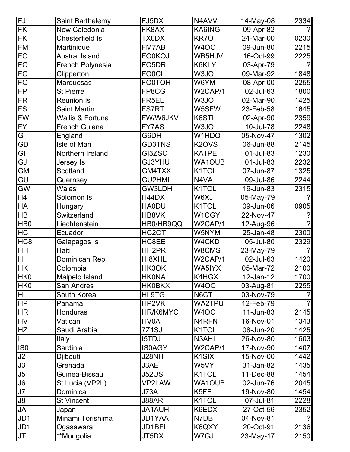| FJ              | Saint Barthelemy      | FJ5DX              | N4AVV                          | 14-May-08 | 2334                  |
|-----------------|-----------------------|--------------------|--------------------------------|-----------|-----------------------|
| FK              | New Caledonia         | FK8AX              | KA6ING                         | 09-Apr-82 |                       |
| <b>FK</b>       | Chesterfield Is       | TX0DX              | KR7O                           | 24-Mar-00 | 0230                  |
| <b>FM</b>       | Martinique            | FM7AB              | W4OO                           | 09-Jun-80 | 2215                  |
| <b>FO</b>       | <b>Austral Island</b> | <b>FO0KOJ</b>      | WB5HJV                         | 16-Oct-99 | 2225                  |
| <b>FO</b>       | French Polynesia      | FO <sub>5</sub> DR | K6KLY                          | 03-Apr-79 |                       |
| <b>FO</b>       | Clipperton            | <b>FO0CI</b>       | W3JO                           | 09-Mar-92 | 1848                  |
| <b>FO</b>       | Marquesas             | <b>FO0TOH</b>      | W6YM                           | 08-Apr-00 | 2255                  |
| <b>FP</b>       | <b>St Pierre</b>      | FP8CG              | W2CAP/1                        | 02-Jul-63 | 1800                  |
| <b>FR</b>       | <b>Reunion Is</b>     | FR5EL              | W3JO                           | 02-Mar-90 | 1425                  |
| <b>FS</b>       | <b>Saint Martin</b>   | <b>FS7RT</b>       | W5SFW                          | 23-Feb-58 | 1645                  |
| <b>FW</b>       | Wallis & Fortuna      | FW/W6JKV           | K6STI                          | 02-Apr-90 | 2359                  |
| <b>FY</b>       | <b>French Guiana</b>  | <b>FY7AS</b>       | W3JO                           | 10-Jul-78 | 2248                  |
| G               | England               | G6DH               | W1HDQ                          | 05-Nov-47 | 1302                  |
| GD              | Isle of Man           | <b>GD3TNS</b>      | K <sub>2</sub> OV <sub>S</sub> | 06-Jun-88 | 2145                  |
| GI              | Northern Ireland      | GI3ZSC             | KA1PE                          | 01-Jul-83 | 1230                  |
| GJ              | Jersey Is             | GJ3YHU             | <b>WA1OUB</b>                  | 01-Jul-83 | 2232                  |
| <b>GM</b>       | Scotland              | GM4TXX             | K <sub>1</sub> TOL             | 07-Jun-87 | 1325                  |
| GU              | Guernsey              | <b>GU2HML</b>      | N4VA                           | 09-Jul-86 | 2244                  |
| GW              | <b>Wales</b>          | GW3LDH             | K1TOL                          | 19-Jun-83 | 2315                  |
| H4              | Solomon Is            | H44DX              | W6XJ                           | 05-May-79 | $\mathcal{P}$         |
| HA              | Hungary               | <b>HA0DU</b>       | K1TOL                          | 09-Jun-06 | 0905                  |
| HB              | Switzerland           | HB8VK              | W1CGY                          | 22-Nov-47 |                       |
| HB <sub>0</sub> | Liechtenstein         | HB0/HB9QQ          | W2CAP/1                        | 12-Aug-96 | $\boldsymbol{\gamma}$ |
| HC              | Ecuador               | HC <sub>2</sub> OT | W5NYM                          | 25-Jan-48 | 2300                  |
| HC <sub>8</sub> | Galapagos Is          | HC8EE              | W4CKD                          | 05-Jul-80 | 2329                  |
| HH              | Haiti                 | HH <sub>2</sub> PR | W8CMS                          | 23-May-79 | $\mathcal{P}$         |
| HI              | Dominican Rep         | HI8XHL             | W2CAP/1                        | 02-Jul-63 | 1420                  |
| <b>HK</b>       | Colombia              | HK3OK              | WA5IYX                         | 05-Mar-72 | 2100                  |
| HK <sub>0</sub> | Malpelo Island        | <b>HKONA</b>       | K4HGX                          | 12-Jan-12 | 1700                  |
| HK0             | <b>San Andres</b>     | <b>HK0BKX</b>      | <b>W4OO</b>                    | 03-Aug-81 | 2255                  |
| HL              | South Korea           | <b>HL9TG</b>       | N6CT                           | 03-Nov-79 | $\gamma$              |
| <b>HP</b>       | Panama                | HP2VK              | <b>WA2TPU</b>                  | 12-Feb-79 | $\gamma$              |
| <b>HR</b>       | <b>Honduras</b>       | HR/K6MYC           | <b>W4OO</b>                    | 11-Jun-83 | 2145                  |
| <b>HV</b>       | Vatican               | HV0A               | N4RFN                          | 16-Nov-01 | 1343                  |
| HZ              | Saudi Arabia          | 7Z1SJ              | K1TOL                          | 08-Jun-20 | 1425                  |
|                 | Italy                 | <b>I5TDJ</b>       | N3AHI                          | 26-Nov-80 | 1603                  |
| IS <sub>0</sub> | Sardinia              | <b>IS0AGY</b>      | W2CAP/1                        | 17-Nov-90 | 1407                  |
| J2              | Djibouti              | J28NH              | K <sub>1</sub> SIX             | 15-Nov-00 | 1442                  |
| J3              | Grenada               | J3AE               | W5VY                           | 31-Jan-82 | 1435                  |
| J5              | Guinea-Bissau         | <b>J52US</b>       | K <sub>1</sub> TOL             | 11-Dec-88 | 1454                  |
| J6              | St Lucia (VP2L)       | <b>VP2LAW</b>      | <b>WA1OUB</b>                  | 02-Jun-76 | 2045                  |
| J7              | Dominica              | <b>J73A</b>        | K5FF                           | 19-Nov-80 | 1454                  |
| J8              | <b>St Vincent</b>     | J88AR              | K <sub>1</sub> TOL             | 07-Jul-81 | 2228                  |
| JA              | Japan                 | JA1AUH             | K6EDX                          | 27-Oct-56 | 2352                  |
| JD1             | Minami Torishima      | JD1YAA             | N7DB                           | 04-Nov-81 | $\mathcal{P}$         |
| JD1             | Ogasawara             | JD1BFI             | K6QXY                          | 20-Oct-91 | 2136                  |
| <b>JT</b>       | **Mongolia            | JT5DX              | W7GJ                           | 23-May-17 | 2150                  |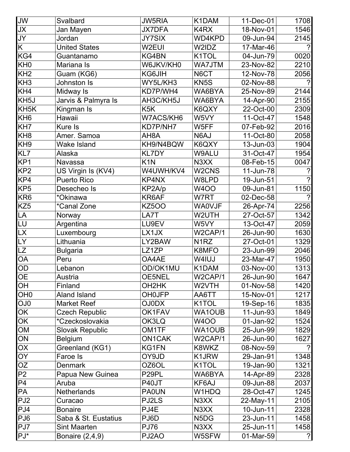| <b>JW</b>         | Svalbard                  | <b>JW5RIA</b>      | K1DAM                          | 11-Dec-01 | 1708                  |
|-------------------|---------------------------|--------------------|--------------------------------|-----------|-----------------------|
| <b>JX</b>         | Jan Mayen                 | <b>JX7DFA</b>      | K4RX                           | 18-Nov-01 | 1546                  |
| JY                | Jordan                    | <b>JY7SIX</b>      | WD4KPD                         | 09-Jun-94 | 2145                  |
| K.                | <b>United States</b>      | W2EUI              | W2IDZ                          | 17-Mar-46 | $\boldsymbol{\gamma}$ |
| KG4               | Guantanamo                | KG4BN              | K1TOL                          | 04-Jun-79 | 0020                  |
| KH <sub>0</sub>   | Mariana Is                | W6JKV/KH0          | WA7JTM                         | 23-Nov-82 | 2210                  |
| KH <sub>2</sub>   | Guam (KG6)                | KG6JIH             | N6CT                           | 12-Nov-78 | 2056                  |
| KH <sub>3</sub>   | Johnston Is               | WY5L/KH3           | KN <sub>5</sub> S              | 02-Nov-88 |                       |
| KH4               | Midway Is                 | KD7P/WH4           | WA6BYA                         | 25-Nov-89 | 2144                  |
| KH <sub>5</sub> J | Jarvis & Palmyra Is       | AH3C/KH5J          | WA6BYA                         | 14-Apr-90 | 2155                  |
| KH <sub>5</sub> K | Kingman Is                | K <sub>5</sub> K   | K6QXY                          | 22-Oct-00 | 2309                  |
| KH <sub>6</sub>   | Hawaii                    | W7ACS/KH6          | W5VY                           | 11-Oct-47 | 1548                  |
| KH7               | Kure Is                   | KD7P/NH7           | W5FF                           | 07-Feb-92 | 2016                  |
| KH <sub>8</sub>   | Amer. Samoa               | AH <sub>8</sub> A  | N6AJ                           | 11-Oct-80 | 2058                  |
| KH <sub>9</sub>   | <b>Wake Island</b>        | KH9/N4BQW          | K6QXY                          | 13-Jun-03 | 1904                  |
| KL7               | Alaska                    | <b>KL7DY</b>       | W9ALU                          | 31-Oct-47 | 1954                  |
| KP <sub>1</sub>   | <b>Navassa</b>            | K <sub>1</sub> N   | N3XX                           | 08-Feb-15 | 0047                  |
| KP <sub>2</sub>   | US Virgin Is (KV4)        | W4UWH/KV4          | W <sub>2</sub> CN <sub>S</sub> | 11-Jun-78 | ?                     |
| KP4               | <b>Puerto Rico</b>        | KP4NX              | W8LPD                          | 19-Jun-51 | $\mathcal{P}$         |
| KP <sub>5</sub>   | Desecheo Is               | KP2A/p             | <b>W4OO</b>                    | 09-Jun-81 | 1150                  |
| KR <sub>6</sub>   | *Okinawa                  | KR6AF              | W7RT                           | 02-Dec-58 |                       |
| KZ <sub>5</sub>   | <i><b>*Canal Zone</b></i> | <b>KZ500</b>       | <b>WA0VJF</b>                  | 26-Apr-74 | 2256                  |
| LA                | Norway                    | LA7T               | W2UTH                          | 27-Oct-57 | 1342                  |
| LU                | Argentina                 | LU9EV              | W5VY                           | 13-Oct-47 | 2059                  |
| <b>LX</b>         | Luxembourg                | LX1JX              | W2CAP/1                        | 26-Jun-90 | 1630                  |
| LY                | Lithuania                 | LY2BAW             | N <sub>1</sub> RZ              | 27-Oct-01 | 1329                  |
| LZ                | <b>Bulgaria</b>           | LZ1ZP              | K8MFO                          | 23-Jun-99 | 2046                  |
| OA                | Peru                      | OA4AE              | W4IUJ                          | 23-Mar-47 | 1950                  |
| OD                | Lebanon                   | OD/OK1MU           | K1DAM                          | 03-Nov-00 | 1313                  |
| <b>OE</b>         | Austria                   | <b>OE5NEL</b>      | W2CAP/1                        | 26-Jun-90 | 1647                  |
| OH                | Finland                   | OH <sub>2</sub> HK | W2VTH                          | 01-Nov-58 | 1420                  |
| OH <sub>0</sub>   | <b>Aland Island</b>       | <b>OH0JFP</b>      | AA6TT                          | 15-Nov-01 | 1217                  |
| OJ <sub>0</sub>   | <b>Market Reef</b>        | <b>OJ0DX</b>       | K1TOL                          | 19-Sep-16 | 1835                  |
| OK                | <b>Czech Republic</b>     | OK1FAV             | <b>WA1OUB</b>                  | 11-Jun-93 | 1849                  |
| OK                | *Czeckoslovakia           | OK3LQ              | <b>W4OO</b>                    | 01-Jan-92 | 1524                  |
| OM                | <b>Slovak Republic</b>    | OM1TF              | <b>WA1OUB</b>                  | 25-Jun-99 | 1829                  |
| ON                | <b>Belgium</b>            | <b>ON1CAK</b>      | W2CAP/1                        | 26-Jun-90 | 1627                  |
| OX                | Greenland (KG1)           | KG1FN              | K8WKZ                          | 08-Nov-59 |                       |
| <b>OY</b>         | Faroe Is                  | OY9JD              | K1JRW                          | 29-Jan-91 | 1348                  |
| OZ                | <b>Denmark</b>            | OZ6OL              | K <sub>1</sub> TOL             | 19-Jan-90 | 1321                  |
| P <sub>2</sub>    | Papua New Guinea          | P <sub>29PL</sub>  | WA6BYA                         | 14-Apr-89 | 2328                  |
| P <sub>4</sub>    | Aruba                     | P40JT              | KF6AJ                          | 09-Jun-88 | 2037                  |
| PA                | Netherlands               | <b>PA0UN</b>       | W1HDQ                          | 28-Oct-47 | 1245                  |
| PJ <sub>2</sub>   | Curacao                   | PJ2LS              | N3XX                           | 22-May-11 | 2105                  |
| PJ4               | <b>Bonaire</b>            | PJ4E               | N3XX                           | 10-Jun-11 | 2328                  |
| PJ <sub>6</sub>   | Saba & St. Eustatius      | PJ6D               | N <sub>5</sub> D <sub>G</sub>  | 23-Jun-11 | 1458                  |
| PJ7               | <b>Sint Maarten</b>       | <b>PJ76</b>        | N3XX                           | 25-Jun-11 | 1458                  |
| $PJ^*$            | Bonaire (2,4,9)           | PJ2AO              | W5SFW                          | 01-Mar-59 | $\overline{?}$        |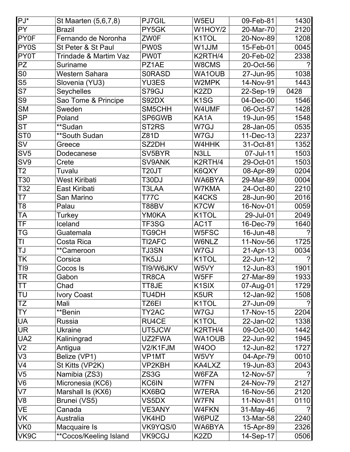| $PJ^*$            | St Maarten (5,6,7,8)   | PJ7GIL             | W5EU               | 09-Feb-81 | 1430 |
|-------------------|------------------------|--------------------|--------------------|-----------|------|
| <b>PY</b>         | <b>Brazil</b>          | PY5GK              | W1HOY/2            | 20-Mar-70 | 2120 |
| PY0F              | Fernando de Noronha    | <b>ZW0F</b>        | K <sub>1</sub> TOL | 20-Nov-89 | 1208 |
| PY <sub>0</sub> S | St Peter & St Paul     | <b>PW0S</b>        | W1JJM              | 15-Feb-01 | 0045 |
| PY0T              | Trindade & Martim Vaz  | <b>PW0T</b>        | K2RTH/4            | 20-Feb-02 | 2338 |
| PΖ                | <b>Suriname</b>        | PZ1AE              | W8CMS              | 20-Oct-56 | ?    |
| S <sub>0</sub>    | <b>Western Sahara</b>  | <b>SORASD</b>      | <b>WA1OUB</b>      | 27-Jun-95 | 1038 |
| S <sub>5</sub>    | Slovenia (YU3)         | <b>YU3ES</b>       | W2MPK              | 14-Nov-91 | 1443 |
| S7                | Seychelles             | S79GJ              | K2ZD               | 22-Sep-19 | 0428 |
| S9                | Sao Tome & Principe    | S92DX              | K <sub>1</sub> SG  | 04-Dec-00 | 1546 |
| <b>SM</b>         | Sweden                 | SM5CHH             | W4UMF              | 06-Oct-57 | 1428 |
| SP                | Poland                 | SP6GWB             | KA <sub>1</sub> A  | 19-Jun-95 | 1548 |
| <b>ST</b>         | **Sudan                | ST <sub>2</sub> RS | W7GJ               | 28-Jan-05 | 0535 |
| ST <sub>0</sub>   | **South Sudan          | Z81D               | W7GJ               | 11-Dec-13 | 2237 |
| SV                | Greece                 | SZ2DH              | W4HHK              | 31-Oct-81 | 1352 |
| SV5               | Dodecanese             | SV5BYR             | N3LL               | 07-Jul-11 | 1503 |
| SV9               | Crete                  | SV9ANK             | K2RTH/4            | 29-Oct-01 | 1503 |
| T2                | Tuvalu                 | T20JT              | K6QXY              | 08-Apr-89 | 0204 |
| T30               | <b>West Kiribati</b>   | T30DJ              | WA6BYA             | 29-Mar-89 | 0004 |
| T32               | East Kiribati          | T3LAA              | W7KMA              | 24-Oct-80 | 2210 |
| T7                | San Marino             | T77C               | K4CKS              | 28-Jun-90 | 2016 |
| T8                | Palau                  | T88BV              | K7CW               | 16-Nov-01 | 0059 |
| TA                | Turkey                 | YM0KA              | K <sub>1</sub> TOL | 29-Jul-01 | 2049 |
| ΤF                | Iceland                | TF3SG              | AC1T               | 16-Dec-79 | 1640 |
| TG                | Guatemala              | TG9CH              | W5FSC              | 16-Jun-48 | ?    |
| ΤI                | Costa Rica             | TI2AFC             | W6NLZ              | 11-Nov-56 | 1725 |
| TJ                | **Cameroon             | <b>TJ3SN</b>       | W7GJ               | 21-Apr-13 | 0034 |
| ΤK                | Corsica                | TK5JJ              | K <sub>1</sub> TOL | 22-Jun-12 |      |
| TI9               | Cocos Is               | TI9/W6JKV          | W5VY               | 12-Jun-83 | 1901 |
| <b>TR</b>         | Gabon                  | TR8CA              | W5FF               | 27-Mar-89 | 1933 |
| ΤT                | Chad                   | TT8JE              | K <sub>1</sub> SIX | 07-Aug-01 | 1729 |
| TU                | <b>Ivory Coast</b>     | TU4DH              | K5UR               | 12-Jan-92 | 1508 |
| TZ                | Mali                   | TZ6EI              | K <sub>1</sub> TOL | 27-Jun-09 |      |
| <b>TY</b>         | **Benin                | TY2AC              | W7GJ               | 17-Nov-15 | 2204 |
| UA                | <b>Russia</b>          | RU4CE              | K <sub>1</sub> TOL | 22-Jan-02 | 1338 |
| UR                | <b>Ukraine</b>         | UT5JCW             | K2RTH/4            | 09-Oct-00 | 1442 |
| UA <sub>2</sub>   | Kaliningrad            | UZ2FWA             | WA1OUB             | 22-Jun-92 | 1945 |
| V2                | Antigua                | V2/K1FJM           | <b>W4OO</b>        | 12-Jun-82 | 1727 |
| V3                | Belize (VP1)           | VP1MT              | W5VY               | 04-Apr-79 | 0010 |
| V4                | St Kitts (VP2K)        | VP2KBH             | KA4LXZ             | 19-Jun-83 | 2043 |
| V <sub>5</sub>    | Namibia (ZS3)          | ZS3G               | W6FZA              | 12-Nov-57 |      |
| V6                | Micronesia (KC6)       | KC6IN              | W7FN               | 24-Nov-79 | 2127 |
| V7                | Marshall Is (KX6)      | KX6BQ              | W7ERA              | 16-Nov-56 | 2120 |
| V8                | Brunei (VS5)           | VS5DX              | W7FN               | 11-Nov-81 | 0110 |
| VE                | Canada                 | <b>VE3ANY</b>      | W4FKN              | 31-May-46 |      |
| VK                | Australia              | VK4HD              | W6PUZ              | 13-Mar-58 | 2240 |
| VK <sub>0</sub>   | Macquaire Is           | VK9YQS/0           | WA6BYA             | 15-Apr-89 | 2326 |
| VK9C              | **Cocos/Keeling Island | VK9CGJ             | K <sub>2</sub> ZD  | 14-Sep-17 | 0506 |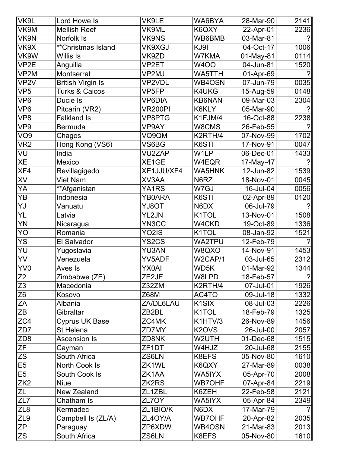| VK9L             | Lord Howe Is              | VK9LE              | WA6BYA             | 28-Mar-90 | 2141           |
|------------------|---------------------------|--------------------|--------------------|-----------|----------------|
| VK9M             | <b>Mellish Reef</b>       | VK9ML              | K6QXY              | 22-Apr-01 | 2236           |
| VK9N             | Norfolk Is                | <b>VK9NS</b>       | WB6BMB             | 03-Mar-81 |                |
| VK9X             | ** Christmas Island       | VK9XGJ             | KJ9I               | 04-Oct-17 | 1006           |
| VK9W             | <b>Willis Is</b>          | VK9ZD              | W7KMA              | 01-May-81 | 0114           |
| VP2E             | Anguilla                  | VP2ET              | <b>W4OO</b>        | 04-Jun-81 | 1520           |
| VP2M             | Montserrat                | VP2MJ              | WA5TTH             | 01-Apr-69 |                |
| VP <sub>2V</sub> | <b>British Virgin Is</b>  | VP2VDL             | WB4OSN             | 07-Jun-79 | 0035           |
| VP <sub>5</sub>  | <b>Turks &amp; Caicos</b> | VP <sub>5FP</sub>  | K4UKG              | 15-Aug-59 | 0148           |
| VP <sub>6</sub>  | Ducie Is                  | <b>VP6DIA</b>      | <b>KB6NAN</b>      | 09-Mar-03 | 2304           |
| VP <sub>6</sub>  | Pitcarin (VR2)            | <b>VR200PI</b>     | K6KLY              | 05-Mar-90 |                |
| VP8              | <b>Falkland Is</b>        | VP8PTG             | K1FJM/4            | 16-Oct-88 | 2238           |
| VP9              | <b>Bermuda</b>            | VP9AY              | W8CMS              | 26-Feb-55 |                |
| VQ9              | Chagos                    | VQ9QM              | K2RTH/4            | 07-Nov-99 | 1702           |
| VR <sub>2</sub>  | Hong Kong (VS6)           | VS6BG              | K6STI              | 17-Nov-91 | 0047           |
| VU               | India                     | <b>VU2ZAP</b>      | W1LP               | 06-Dec-01 | 1433           |
| XE               | Mexico                    | XE1GE              | W4EQR              | 17-May-47 | $\mathcal{P}$  |
| XF4              | Revillagigedo             | XE1JJU/XF4         | <b>WA5HNK</b>      | 12-Jun-82 | 1539           |
| XV               | <b>Viet Nam</b>           | XV3AA              | N6RZ               | 18-Nov-01 | 0045           |
| YA               | **Afganistan              | YA1RS              | W7GJ               | 16-Jul-04 | 0056           |
| ΥB               | Indonesia                 | YB0ARA             | K6STI              | 02-Apr-89 | 0120           |
| YJ               | Vanuatu                   | <b>YJ8OT</b>       | N6DX               | 06-Jul-79 |                |
| YL               | Latvia                    | YL2JN              | K1TOL              | 13-Nov-01 | 1508           |
| YN               | Nicaragua                 | YN3CC              | W4CKD              | 19-Oct-89 | 1336           |
| YO               | Romania                   | YO2IS              | K1TOL              | 08-Jan-92 | 1521           |
| <b>YS</b>        | <b>El Salvador</b>        | YS2CS              | <b>WA2TPU</b>      | 12-Feb-79 |                |
| YU               | Yugoslavia                | YU3AN              | W8QXO              | 14-Nov-91 | 1453           |
| YV               | Venezuela                 | <b>YV5ADF</b>      | W2CAP/1            | 03-Jul-65 | 2312           |
| YV0              | Aves Is                   | <b>YX0AI</b>       | WD5K               | 01-Mar-92 | 1344           |
| Z <sub>2</sub>   | Zimbabwe (ZE)             | ZE2JE              | W8LPD              | 18-Feb-57 | $\overline{?}$ |
| Z <sub>3</sub>   | Macedonia                 | Z32ZM              | K2RTH/4            | 07-Jul-01 | 1926           |
| Z <sub>6</sub>   | Kosovo                    | Z68M               | AC4TO              | 09-Jul-18 | 1332           |
| ZA               | Albania                   | ZA/DL6LAU          | K <sub>1</sub> SIX | 08-Jul-03 | 2226           |
| ΖB               | Gibraltar                 | ZB <sub>2</sub> BL | K <sub>1</sub> TOL | 18-Feb-79 | 1325           |
| ZC4              | <b>Cyprus UK Base</b>     | ZC4MK              | K1HTV/3            | 26-Nov-89 | 1456           |
| ZD7              | St Helena                 | ZD7MY              | K2OVS              | 26-Jul-00 | 2057           |
| ZD <sub>8</sub>  | <b>Ascension Is</b>       | ZD8NK              | W2UTH              | 01-Dec-68 | 1515           |
| ZF               | Cayman                    | ZF <sub>1</sub> DT | W4HJZ              | 20-Jul-68 | 2155           |
| ZS               | South Africa              | ZS6LN              | K8EFS              | 05-Nov-80 | 1610           |
| $E\overline{5}$  | North Cook Is             | ZK1WL              | K6QXY              | 27-Mar-89 | 0038           |
| $\overline{E5}$  | South Cook Is             | ZK1AA              | WA5IYX             | 05-Apr-70 | 2008           |
| ZK2              | <b>Niue</b>               | ZK2RS              | <b>WB7OHF</b>      | 07-Apr-84 | 2219           |
| ZL               | <b>New Zealand</b>        | ZL1ZBL             | K6ZEH              | 22-Feb-58 | 2121           |
| ZL7              | Chatham Is                | ZL7OY              | WA5IYX             | 05-Apr-84 | 2349           |
| ZL <sub>8</sub>  | Kermadec                  | ZL1BIQ/K           | N6DX               | 17-Mar-79 | $\mathcal{P}$  |
| ZL9              | Campbell Is (ZL/A)        | ZL4OY/A            | <b>WB7OHF</b>      | 20-Apr-82 | 2035           |
| ZP               | Paraguay                  | ZP6XDW             | WB4OSN             | 21-Mar-83 | 2013           |
| <b>ZS</b>        | South Africa              | ZS6LN              | K8EFS              | 05-Nov-80 | 1610           |